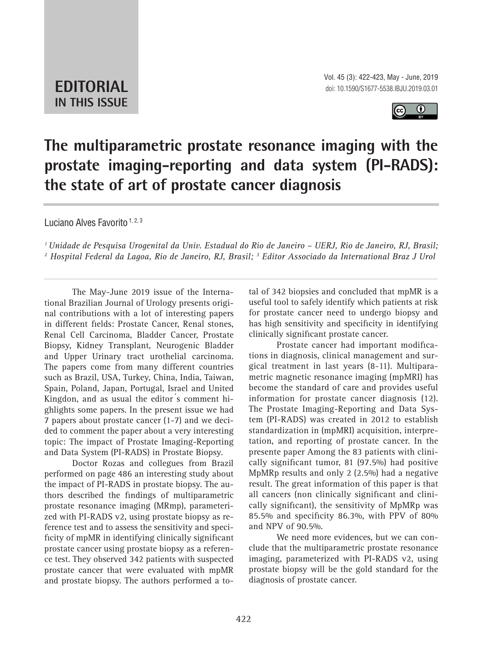

## **The multiparametric prostate resonance imaging with the prostate imaging-reporting and data system (PI-RADS): the state of art of prostate cancer diagnosis \_\_\_\_\_\_\_\_\_\_\_\_\_\_\_\_\_\_\_\_\_\_\_\_\_\_\_\_\_\_\_\_\_\_\_\_\_\_\_\_\_\_\_\_\_\_\_**

Luciano Alves Favorito 1, 2, 3

*1 Unidade de Pesquisa Urogenital da Univ. Estadual do Rio de Janeiro – UERJ, Rio de Janeiro, RJ, Brasil; 2 Hospital Federal da Lagoa, Rio de Janeiro, RJ, Brasil; 3 Editor Associado da International Braz J Urol*

*\_\_\_\_\_\_\_\_\_\_\_\_\_\_\_\_\_\_\_\_\_\_\_\_\_\_\_\_\_\_\_\_\_\_\_\_\_\_\_\_\_\_\_\_\_\_\_\_\_\_\_\_\_\_\_\_\_\_\_\_\_\_\_\_\_\_\_\_\_\_\_\_\_\_\_\_\_\_\_\_\_\_\_\_\_\_\_*

The May-June 2019 issue of the International Brazilian Journal of Urology presents original contributions with a lot of interesting papers in different fields: Prostate Cancer, Renal stones, Renal Cell Carcinoma, Bladder Cancer, Prostate Biopsy, Kidney Transplant, Neurogenic Bladder and Upper Urinary tract urothelial carcinoma. The papers come from many different countries such as Brazil, USA, Turkey, China, India, Taiwan, Spain, Poland, Japan, Portugal, Israel and United Kingdon, and as usual the editor ́s comment highlights some papers. In the present issue we had 7 papers about prostate cancer (1-7) and we decided to comment the paper about a very interesting topic: The impact of Prostate Imaging-Reporting and Data System (PI-RADS) in Prostate Biopsy.

Doctor Rozas and collegues from Brazil performed on page 486 an interesting study about the impact of PI-RADS in prostate biopsy. The authors described the findings of multiparametric prostate resonance imaging (MRmp), parameterized with PI-RADS v2, using prostate biopsy as reference test and to assess the sensitivity and specificity of mpMR in identifying clinically significant prostate cancer using prostate biopsy as a reference test. They observed 342 patients with suspected prostate cancer that were evaluated with mpMR and prostate biopsy. The authors performed a total of 342 biopsies and concluded that mpMR is a useful tool to safely identify which patients at risk for prostate cancer need to undergo biopsy and has high sensitivity and specificity in identifying clinically significant prostate cancer.

Prostate cancer had important modifications in diagnosis, clinical management and surgical treatment in last years (8-11). Multiparametric magnetic resonance imaging (mpMRI) has become the standard of care and provides useful information for prostate cancer diagnosis (12). The Prostate Imaging-Reporting and Data System (PI-RADS) was created in 2012 to establish standardization in (mpMRI) acquisition, interpretation, and reporting of prostate cancer. In the presente paper Among the 83 patients with clinically significant tumor, 81 (97.5%) had positive MpMRp results and only 2 (2.5%) had a negative result. The great information of this paper is that all cancers (non clinically significant and clinically significant), the sensitivity of MpMRp was 85.5% and specificity 86.3%, with PPV of 80% and NPV of 90.5%.

We need more evidences, but we can conclude that the multiparametric prostate resonance imaging, parameterized with PI-RADS v2, using prostate biopsy will be the gold standard for the diagnosis of prostate cancer.